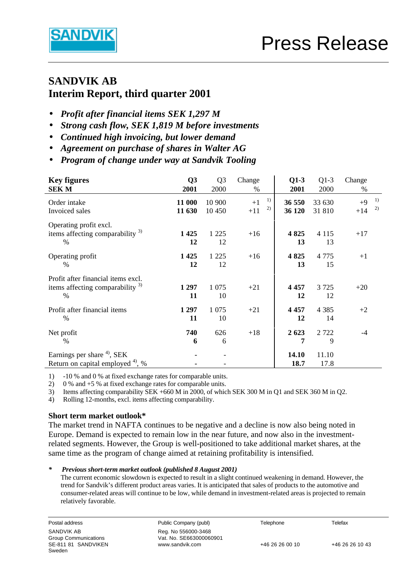

# **SANDVIK AB Interim Report, third quarter 2001**

- *Profit after financial items SEK 1,297 M*
- *Strong cash flow, SEK 1,819 M before investments*
- *Continued high invoicing, but lower demand*
- *Agreement on purchase of shares in Walter AG*
- **·** *Program of change under way at Sandvik Tooling*

| <b>Key figures</b><br><b>SEK M</b>                                                     | Q3<br>2001       | Q <sub>3</sub><br>2000 | Change<br>%               | $Q1-3$<br>2001   | $Q1-3$<br>2000   | Change<br>$\%$            |
|----------------------------------------------------------------------------------------|------------------|------------------------|---------------------------|------------------|------------------|---------------------------|
| Order intake<br>Invoiced sales                                                         | 11 000<br>11 630 | 10 900<br>10 450       | 1)<br>$+1$<br>2)<br>$+11$ | 36 550<br>36 120 | 33 630<br>31 810 | 1)<br>$+9$<br>2)<br>$+14$ |
| Operating profit excl.<br>items affecting comparability $3$<br>$\%$                    | 1425<br>12       | 1 2 2 5<br>12          | $+16$                     | 4 8 25<br>13     | 4 1 1 5<br>13    | $+17$                     |
| Operating profit<br>$\%$                                                               | 1 4 2 5<br>12    | 1 2 2 5<br>12          | $+16$                     | 4 8 25<br>13     | 4 7 7 5<br>15    | $+1$                      |
| Profit after financial items excl.<br>items affecting comparability $3$<br>%           | 1 297<br>11      | 1 0 7 5<br>10          | $+21$                     | 4 4 5 7<br>12    | 3 7 2 5<br>12    | $+20$                     |
| Profit after financial items<br>$\%$                                                   | 1 2 9 7<br>11    | 1 0 7 5<br>10          | $+21$                     | 4 4 5 7<br>12    | 4 3 8 5<br>14    | $+2$                      |
| Net profit<br>$\%$                                                                     | 740<br>6         | 626<br>6               | $+18$                     | 2 6 23<br>7      | 2 7 2 2<br>9     | $-4$                      |
| Earnings per share <sup>4)</sup> , SEK<br>Return on capital employed <sup>4)</sup> , % |                  |                        |                           | 14.10<br>18.7    | 11.10<br>17.8    |                           |

1) -10 % and 0 % at fixed exchange rates for comparable units.<br>2) 0 % and +5 % at fixed exchange rates for comparable units.

2) 0 % and +5 % at fixed exchange rates for comparable units.<br>3) Items affecting comparability SEK +660 M in 2000. of which Items affecting comparability SEK +660 M in 2000, of which SEK 300 M in Q1 and SEK 360 M in Q2.

4) Rolling 12-months, excl. items affecting comparability.

#### **Short term market outlook\***

The market trend in NAFTA continues to be negative and a decline is now also being noted in Europe. Demand is expected to remain low in the near future, and now also in the investmentrelated segments. However, the Group is well-positioned to take additional market shares, at the same time as the program of change aimed at retaining profitability is intensified.

#### *\* Previous short-term market outlook (published 8 August 2001)*

The current economic slowdown is expected to result in a slight continued weakening in demand. However, the trend for Sandvik's different product areas varies. It is anticipated that sales of products to the automotive and consumer-related areas will continue to be low, while demand in investment-related areas is projected to remain relatively favorable.

Postal address Telefax **Public Company (publ)** Telephone Telephone Telefax Group Communications Vat. No. SE663000060901 www.sandvik.com +46 26 26 00 10 +46 26 26 10 43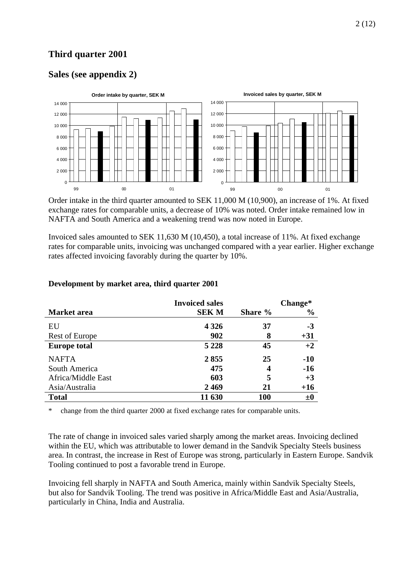## **Third quarter 2001**

## **Sales (see appendix 2)**



Order intake in the third quarter amounted to SEK 11,000 M (10,900), an increase of 1%. At fixed exchange rates for comparable units, a decrease of 10% was noted. Order intake remained low in NAFTA and South America and a weakening trend was now noted in Europe.

Invoiced sales amounted to SEK 11,630 M (10,450), a total increase of 11%. At fixed exchange rates for comparable units, invoicing was unchanged compared with a year earlier. Higher exchange rates affected invoicing favorably during the quarter by 10%.

|                     | <b>Invoiced sales</b> |            | Change*       |
|---------------------|-----------------------|------------|---------------|
| Market area         | <b>SEK M</b>          | Share %    | $\frac{6}{9}$ |
| EU                  | 4 3 2 6               | 37         | $-3$          |
| Rest of Europe      | 902                   | 8          | $+31$         |
| <b>Europe total</b> | 5 2 2 8               | 45         | $+2$          |
| <b>NAFTA</b>        | 2855                  | 25         | $-10$         |
| South America       | 475                   | 4          | $-16$         |
| Africa/Middle East  | 603                   | 5          | $+3$          |
| Asia/Australia      | 2469                  | 21         | $+16$         |
| <b>Total</b>        | 11 630                | <b>100</b> | ±0            |

#### **Development by market area, third quarter 2001**

change from the third quarter 2000 at fixed exchange rates for comparable units.

The rate of change in invoiced sales varied sharply among the market areas. Invoicing declined within the EU, which was attributable to lower demand in the Sandvik Specialty Steels business area. In contrast, the increase in Rest of Europe was strong, particularly in Eastern Europe. Sandvik Tooling continued to post a favorable trend in Europe.

Invoicing fell sharply in NAFTA and South America, mainly within Sandvik Specialty Steels, but also for Sandvik Tooling. The trend was positive in Africa/Middle East and Asia/Australia, particularly in China, India and Australia.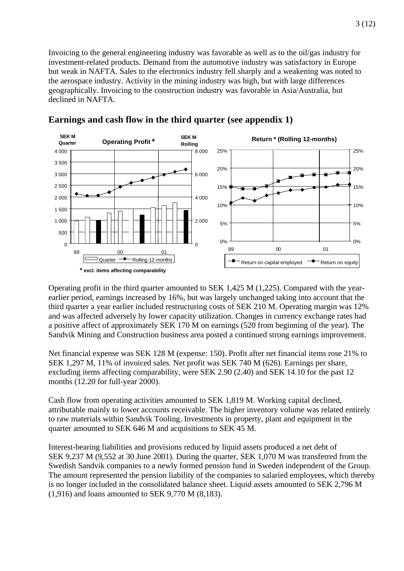Invoicing to the general engineering industry was favorable as well as to the oil/gas industry for investment-related products. Demand from the automotive industry was satisfactory in Europe but weak in NAFTA. Sales to the electronics industry fell sharply and a weakening was noted to the aerospace industry. Activity in the mining industry was high, but with large differences geographically. Invoicing to the construction industry was favorable in Asia/Australia, but declined in NAFTA.



### **Earnings and cash flow in the third quarter (see appendix 1)**

Operating profit in the third quarter amounted to SEK 1,425 M (1,225). Compared with the yearearlier period, earnings increased by 16%, but was largely unchanged taking into account that the third quarter a year earlier included restructuring costs of SEK 210 M. Operating margin was 12% and was affected adversely by lower capacity utilization. Changes in currency exchange rates had a positive affect of approximately SEK 170 M on earnings (520 from beginning of the year). The Sandvik Mining and Construction business area posted a continued strong earnings improvement.

Net financial expense was SEK 128 M (expense: 150). Profit after net financial items rose 21% to SEK 1,297 M, 11% of invoiced sales. Net profit was SEK 740 M (626). Earnings per share, excluding items affecting comparability, were SEK 2.90 (2.40) and SEK 14.10 for the past 12 months (12.20 for full-year 2000).

Cash flow from operating activities amounted to SEK 1,819 M. Working capital declined, attributable mainly to lower accounts receivable. The higher inventory volume was related entirely to raw materials within Sandvik Tooling. Investments in property, plant and equipment in the quarter amounted to SEK 646 M and acquisitions to SEK 45 M.

Interest-bearing liabilities and provisions reduced by liquid assets produced a net debt of SEK 9,237 M (9,552 at 30 June 2001). During the quarter, SEK 1,070 M was transferred from the Swedish Sandvik companies to a newly formed pension fund in Sweden independent of the Group. The amount represented the pension liability of the companies to salaried employees, which thereby is no longer included in the consolidated balance sheet. Liquid assets amounted to SEK 2,796 M (1,916) and loans amounted to SEK 9,770 M (8,183).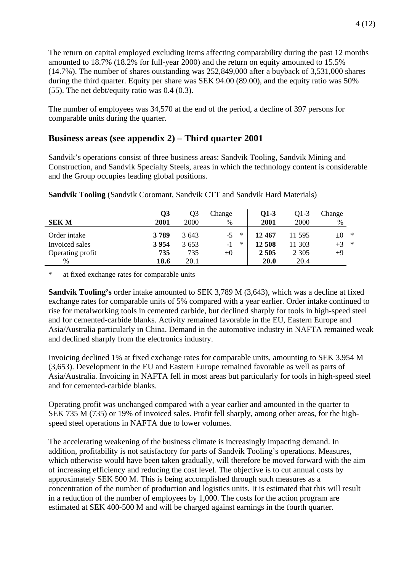The return on capital employed excluding items affecting comparability during the past 12 months amounted to 18.7% (18.2% for full-year 2000) and the return on equity amounted to 15.5% (14.7%). The number of shares outstanding was 252,849,000 after a buyback of 3,531,000 shares during the third quarter. Equity per share was SEK 94.00 (89.00), and the equity ratio was 50% (55). The net debt/equity ratio was 0.4 (0.3).

The number of employees was 34,570 at the end of the period, a decline of 397 persons for comparable units during the quarter.

### **Business areas (see appendix 2) – Third quarter 2001**

Sandvik's operations consist of three business areas: Sandvik Tooling, Sandvik Mining and Construction, and Sandvik Specialty Steels, areas in which the technology content is considerable and the Group occupies leading global positions.

| <b>SEK M</b>     | $\overline{\text{O3}}$<br>2001 | Q3<br>2000 | Change<br>$\%$ | 01-3<br>2001 | O1-3<br>2000 | Change<br>% |        |
|------------------|--------------------------------|------------|----------------|--------------|--------------|-------------|--------|
| Order intake     | 3789                           | 3643       | ∗<br>$-5$      | 12467        | 11 595       | $\pm 0$     | $\ast$ |
| Invoiced sales   | 3 9 5 4                        | 3 6 5 3    | $\ast$<br>$-1$ | 12 508       | 11 303       | $+3$ *      |        |
| Operating profit | 735                            | 735        | $\pm 0$        | 2 5 0 5      | 2 3 0 5      | $+9$        |        |
| $\%$             | 18.6                           | 20.1       |                | <b>20.0</b>  | 20.4         |             |        |

**Sandvik Tooling** (Sandvik Coromant, Sandvik CTT and Sandvik Hard Materials)

\* at fixed exchange rates for comparable units

**Sandvik Tooling's** order intake amounted to SEK 3,789 M (3,643), which was a decline at fixed exchange rates for comparable units of 5% compared with a year earlier. Order intake continued to rise for metalworking tools in cemented carbide, but declined sharply for tools in high-speed steel and for cemented-carbide blanks. Activity remained favorable in the EU, Eastern Europe and Asia/Australia particularly in China. Demand in the automotive industry in NAFTA remained weak and declined sharply from the electronics industry.

Invoicing declined 1% at fixed exchange rates for comparable units, amounting to SEK 3,954 M (3,653). Development in the EU and Eastern Europe remained favorable as well as parts of Asia/Australia. Invoicing in NAFTA fell in most areas but particularly for tools in high-speed steel and for cemented-carbide blanks.

Operating profit was unchanged compared with a year earlier and amounted in the quarter to SEK 735 M (735) or 19% of invoiced sales. Profit fell sharply, among other areas, for the highspeed steel operations in NAFTA due to lower volumes.

The accelerating weakening of the business climate is increasingly impacting demand. In addition, profitability is not satisfactory for parts of Sandvik Tooling's operations. Measures, which otherwise would have been taken gradually, will therefore be moved forward with the aim of increasing efficiency and reducing the cost level. The objective is to cut annual costs by approximately SEK 500 M. This is being accomplished through such measures as a concentration of the number of production and logistics units. It is estimated that this will result in a reduction of the number of employees by 1,000. The costs for the action program are estimated at SEK 400-500 M and will be charged against earnings in the fourth quarter.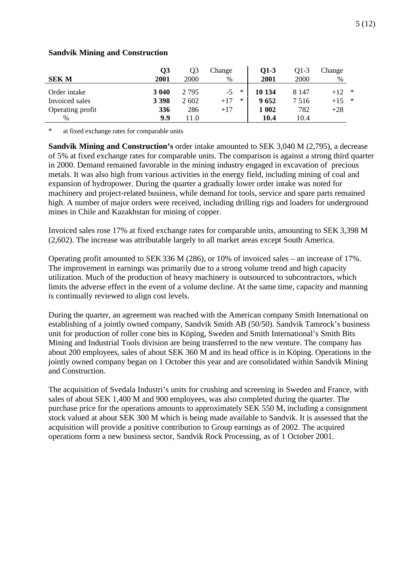|                  | Q3      | Q <sub>3</sub> | Change          | $O1-3$ | $O1-3$  | Change |        |
|------------------|---------|----------------|-----------------|--------|---------|--------|--------|
| <b>SEK M</b>     | 2001    | 2000           | %               | 2001   | 2000    | %      |        |
| Order intake     | 3 040   | 2 7 9 5        | $\ast$<br>$-5$  | 10 134 | 8 1 4 7 | $+12$  | $\ast$ |
| Invoiced sales   | 3 3 9 8 | 2 602          | $\ast$<br>$+17$ | 9652   | 7 5 1 6 | $+15$  | $\ast$ |
| Operating profit | 336     | 286            | $+17$           | 1 002  | 782     | $+28$  |        |
| $\%$             | 9.9     | 11.0           |                 | 10.4   | 10.4    |        |        |

#### **Sandvik Mining and Construction**

at fixed exchange rates for comparable units

**Sandvik Mining and Construction's** order intake amounted to SEK 3,040 M (2,795), a decrease of 5% at fixed exchange rates for comparable units. The comparison is against a strong third quarter in 2000. Demand remained favorable in the mining industry engaged in excavation of precious metals. It was also high from various activities in the energy field, including mining of coal and expansion of hydropower. During the quarter a gradually lower order intake was noted for machinery and project-related business, while demand for tools, service and spare parts remained high. A number of major orders were received, including drilling rigs and loaders for underground mines in Chile and Kazakhstan for mining of copper.

Invoiced sales rose 17% at fixed exchange rates for comparable units, amounting to SEK 3,398 M (2,602). The increase was attributable largely to all market areas except South America.

Operating profit amounted to SEK 336 M (286), or 10% of invoiced sales – an increase of 17%. The improvement in earnings was primarily due to a strong volume trend and high capacity utilization. Much of the production of heavy machinery is outsourced to subcontractors, which limits the adverse effect in the event of a volume decline. At the same time, capacity and manning is continually reviewed to align cost levels.

During the quarter, an agreement was reached with the American company Smith International on establishing of a jointly owned company, Sandvik Smith AB (50/50). Sandvik Tamrock's business unit for production of roller cone bits in Köping, Sweden and Smith International's Smith Bits Mining and Industrial Tools division are being transferred to the new venture. The company has about 200 employees, sales of about SEK 360 M and its head office is in Köping. Operations in the jointly owned company began on 1 October this year and are consolidated within Sandvik Mining and Construction.

The acquisition of Svedala Industri's units for crushing and screening in Sweden and France, with sales of about SEK 1,400 M and 900 employees, was also completed during the quarter. The purchase price for the operations amounts to approximately SEK 550 M, including a consignment stock valued at about SEK 300 M which is being made available to Sandvik. It is assessed that the acquisition will provide a positive contribution to Group earnings as of 2002. The acquired operations form a new business sector, Sandvik Rock Processing, as of 1 October 2001.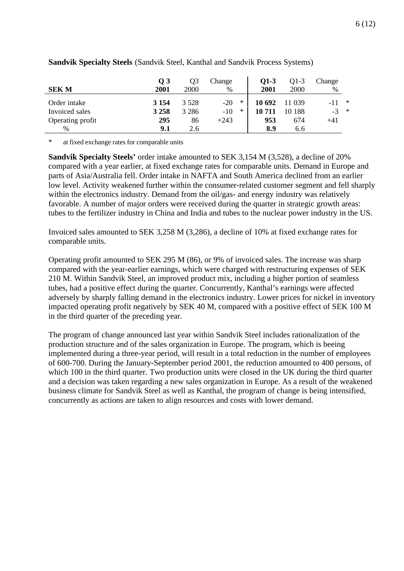| <b>SEK M</b>     | $\overline{O}3$<br>2001 | Q3<br>2000 | Change<br>% |        | $Q1-3$<br>2001 | $Q1-3$<br>2000 | Change<br>$\%$ |        |
|------------------|-------------------------|------------|-------------|--------|----------------|----------------|----------------|--------|
| Order intake     | 3 1 5 4                 | 3 5 2 8    | $-20$       | $\ast$ | 10 692         | 11 039         |                | $\ast$ |
| Invoiced sales   | 3 2 5 8                 | 3 2 8 6    | $-10$       | $\ast$ | 10711          | 10 188         | $-3$           | $\ast$ |
| Operating profit | 295                     | 86         | $+243$      |        | 953            | 674            | $+41$          |        |
| $\%$             | 9.1                     | 2.6        |             |        | 8.9            | 6.6            |                |        |

#### **Sandvik Specialty Steels** (Sandvik Steel, Kanthal and Sandvik Process Systems)

\* at fixed exchange rates for comparable units

**Sandvik Specialty Steels'** order intake amounted to SEK 3,154 M (3,528), a decline of 20% compared with a year earlier, at fixed exchange rates for comparable units. Demand in Europe and parts of Asia/Australia fell. Order intake in NAFTA and South America declined from an earlier low level. Activity weakened further within the consumer-related customer segment and fell sharply within the electronics industry. Demand from the oil/gas- and energy industry was relatively favorable. A number of major orders were received during the quarter in strategic growth areas: tubes to the fertilizer industry in China and India and tubes to the nuclear power industry in the US.

Invoiced sales amounted to SEK 3,258 M (3,286), a decline of 10% at fixed exchange rates for comparable units.

Operating profit amounted to SEK 295 M (86), or 9% of invoiced sales. The increase was sharp compared with the year-earlier earnings, which were charged with restructuring expenses of SEK 210 M. Within Sandvik Steel, an improved product mix, including a higher portion of seamless tubes, had a positive effect during the quarter. Concurrently, Kanthal's earnings were affected adversely by sharply falling demand in the electronics industry. Lower prices for nickel in inventory impacted operating profit negatively by SEK 40 M, compared with a positive effect of SEK 100 M in the third quarter of the preceding year.

The program of change announced last year within Sandvik Steel includes rationalization of the production structure and of the sales organization in Europe. The program, which is beeing implemented during a three-year period, will result in a total reduction in the number of employees of 600-700. During the January-September period 2001, the reduction amounted to 400 persons, of which 100 in the third quarter. Two production units were closed in the UK during the third quarter and a decision was taken regarding a new sales organization in Europe. As a result of the weakened business climate for Sandvik Steel as well as Kanthal, the program of change is being intensified, concurrently as actions are taken to align resources and costs with lower demand.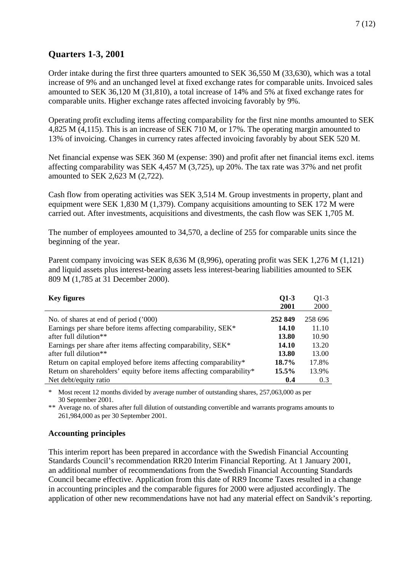## **Quarters 1-3, 2001**

Order intake during the first three quarters amounted to SEK 36,550 M (33,630), which was a total increase of 9% and an unchanged level at fixed exchange rates for comparable units. Invoiced sales amounted to SEK 36,120 M (31,810), a total increase of 14% and 5% at fixed exchange rates for comparable units. Higher exchange rates affected invoicing favorably by 9%.

Operating profit excluding items affecting comparability for the first nine months amounted to SEK 4,825 M (4,115). This is an increase of SEK 710 M, or 17%. The operating margin amounted to 13% of invoicing. Changes in currency rates affected invoicing favorably by about SEK 520 M.

Net financial expense was SEK 360 M (expense: 390) and profit after net financial items excl. items affecting comparability was SEK 4,457 M (3,725), up 20%. The tax rate was 37% and net profit amounted to SEK 2,623 M (2,722).

Cash flow from operating activities was SEK 3,514 M. Group investments in property, plant and equipment were SEK 1,830 M (1,379). Company acquisitions amounting to SEK 172 M were carried out. After investments, acquisitions and divestments, the cash flow was SEK 1,705 M.

The number of employees amounted to 34,570, a decline of 255 for comparable units since the beginning of the year.

Parent company invoicing was SEK 8,636 M (8,996), operating profit was SEK 1,276 M (1,121) and liquid assets plus interest-bearing assets less interest-bearing liabilities amounted to SEK 809 M (1,785 at 31 December 2000).

| <b>Key figures</b>                                                   | $Q1-3$       | $Q1-3$  |
|----------------------------------------------------------------------|--------------|---------|
|                                                                      | 2001         | 2000    |
| No. of shares at end of period ('000)                                | 252 849      | 258 696 |
| Earnings per share before items affecting comparability, SEK*        | <b>14.10</b> | 11.10   |
| after full dilution <sup>**</sup>                                    | 13.80        | 10.90   |
| Earnings per share after items affecting comparability, SEK*         | <b>14.10</b> | 13.20   |
| after full dilution <sup>**</sup>                                    | 13.80        | 13.00   |
| Return on capital employed before items affecting comparability*     | 18.7%        | 17.8%   |
| Return on shareholders' equity before items affecting comparability* | 15.5%        | 13.9%   |
| Net debt/equity ratio                                                | 0.4          | 0.3     |

\* Most recent 12 months divided by average number of outstanding shares, 257,063,000 as per 30 September 2001.

\*\* Average no. of shares after full dilution of outstanding convertible and warrants programs amounts to 261,984,000 as per 30 September 2001.

#### **Accounting principles**

This interim report has been prepared in accordance with the Swedish Financial Accounting Standards Council's recommendation RR20 Interim Financial Reporting. At 1 January 2001, an additional number of recommendations from the Swedish Financial Accounting Standards Council became effective. Application from this date of RR9 Income Taxes resulted in a change in accounting principles and the comparable figures for 2000 were adjusted accordingly. The application of other new recommendations have not had any material effect on Sandvik's reporting.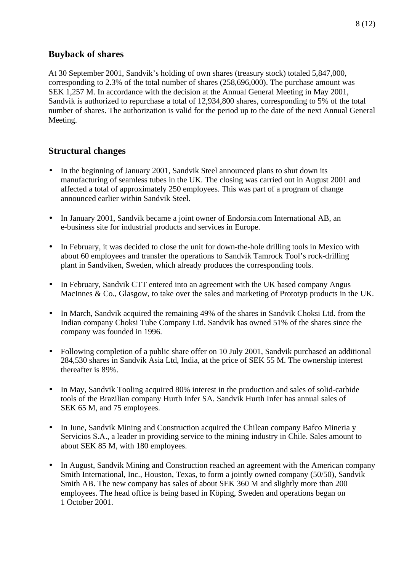### **Buyback of shares**

At 30 September 2001, Sandvik's holding of own shares (treasury stock) totaled 5,847,000, corresponding to 2.3% of the total number of shares (258,696,000). The purchase amount was SEK 1,257 M. In accordance with the decision at the Annual General Meeting in May 2001, Sandvik is authorized to repurchase a total of 12,934,800 shares, corresponding to 5% of the total number of shares. The authorization is valid for the period up to the date of the next Annual General Meeting.

### **Structural changes**

- In the beginning of January 2001, Sandvik Steel announced plans to shut down its manufacturing of seamless tubes in the UK. The closing was carried out in August 2001 and affected a total of approximately 250 employees. This was part of a program of change announced earlier within Sandvik Steel.
- In January 2001, Sandvik became a joint owner of Endorsia.com International AB, an e-business site for industrial products and services in Europe.
- In February, it was decided to close the unit for down-the-hole drilling tools in Mexico with about 60 employees and transfer the operations to Sandvik Tamrock Tool's rock-drilling plant in Sandviken, Sweden, which already produces the corresponding tools.
- In February, Sandvik CTT entered into an agreement with the UK based company Angus MacInnes & Co., Glasgow, to take over the sales and marketing of Prototyp products in the UK.
- In March, Sandvik acquired the remaining 49% of the shares in Sandvik Choksi Ltd. from the Indian company Choksi Tube Company Ltd. Sandvik has owned 51% of the shares since the company was founded in 1996.
- Following completion of a public share offer on 10 July 2001, Sandvik purchased an additional 284,530 shares in Sandvik Asia Ltd, India, at the price of SEK 55 M. The ownership interest thereafter is 89%.
- In May, Sandvik Tooling acquired 80% interest in the production and sales of solid-carbide tools of the Brazilian company Hurth Infer SA. Sandvik Hurth Infer has annual sales of SEK 65 M, and 75 employees.
- In June, Sandvik Mining and Construction acquired the Chilean company Bafco Mineria y Servicios S.A., a leader in providing service to the mining industry in Chile. Sales amount to about SEK 85 M, with 180 employees.
- In August, Sandvik Mining and Construction reached an agreement with the American company Smith International, Inc., Houston, Texas, to form a jointly owned company (50/50), Sandvik Smith AB. The new company has sales of about SEK 360 M and slightly more than 200 employees. The head office is being based in Köping, Sweden and operations began on 1 October 2001.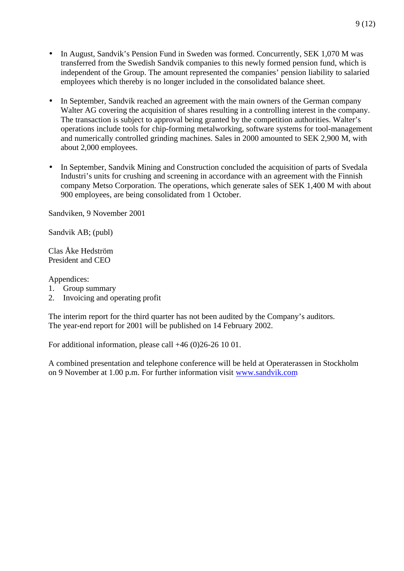- In August, Sandvik's Pension Fund in Sweden was formed. Concurrently, SEK 1,070 M was transferred from the Swedish Sandvik companies to this newly formed pension fund, which is independent of the Group. The amount represented the companies' pension liability to salaried employees which thereby is no longer included in the consolidated balance sheet.
- In September, Sandvik reached an agreement with the main owners of the German company Walter AG covering the acquisition of shares resulting in a controlling interest in the company. The transaction is subject to approval being granted by the competition authorities. Walter's operations include tools for chip-forming metalworking, software systems for tool-management and numerically controlled grinding machines. Sales in 2000 amounted to SEK 2,900 M, with about 2,000 employees.
- In September, Sandvik Mining and Construction concluded the acquisition of parts of Svedala Industri's units for crushing and screening in accordance with an agreement with the Finnish company Metso Corporation. The operations, which generate sales of SEK 1,400 M with about 900 employees, are being consolidated from 1 October.

Sandviken, 9 November 2001

Sandvik AB; (publ)

Clas Åke Hedström President and CEO

Appendices:

- 1. Group summary
- 2. Invoicing and operating profit

The interim report for the third quarter has not been audited by the Company's auditors. The year-end report for 2001 will be published on 14 February 2002.

For additional information, please call +46 (0)26-26 10 01.

A combined presentation and telephone conference will be held at Operaterassen in Stockholm on 9 November at 1.00 p.m. For further information visit www.sandvik.com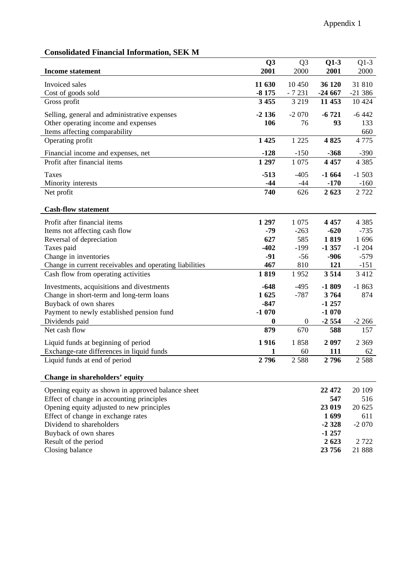# **Consolidated Financial Information, SEK M**

|                                                                   | Q <sub>3</sub>   | Q <sub>3</sub>   | $Q1-3$          | $Q1-3$   |
|-------------------------------------------------------------------|------------------|------------------|-----------------|----------|
| <b>Income statement</b>                                           | 2001             | 2000             | 2001            | 2000     |
| Invoiced sales                                                    | 11 630           | 10 450           | 36 120          | 31 810   |
| Cost of goods sold                                                | $-8175$          | $-7231$          | $-24667$        | $-21386$ |
| Gross profit                                                      | 3 4 5 5          | 3 2 1 9          | 11 453          | 10 4 24  |
|                                                                   |                  |                  |                 |          |
| Selling, general and administrative expenses                      | $-2136$          | $-2070$          | $-6721$         | $-6442$  |
| Other operating income and expenses                               | 106              | 76               | 93              | 133      |
| Items affecting comparability                                     |                  |                  |                 | 660      |
| Operating profit                                                  | 1 4 25           | 1 2 2 5          | 4825            | 4 7 7 5  |
| Financial income and expenses, net                                | $-128$           | $-150$           | $-368$          | $-390$   |
| Profit after financial items                                      | 1 297            | 1 0 7 5          | 4 4 5 7         | 4 3 8 5  |
| Taxes                                                             | $-513$           | $-405$           | $-1664$         | $-1503$  |
| Minority interests                                                | $-44$            | $-44$            | $-170$          | $-160$   |
| Net profit                                                        | 740              | 626              | 2623            | 2 7 2 2  |
|                                                                   |                  |                  |                 |          |
| <b>Cash-flow statement</b>                                        |                  |                  |                 |          |
| Profit after financial items                                      | 1 2 9 7          | 1 0 7 5          | 4 4 5 7         | 4 3 8 5  |
| Items not affecting cash flow                                     | $-79$            | $-263$           | $-620$          | $-735$   |
| Reversal of depreciation                                          | 627              | 585              | 1819            | 1696     |
| Taxes paid                                                        | $-402$           | $-199$           | $-1357$         | $-1204$  |
| Change in inventories                                             | $-91$            | $-56$            | $-906$          | $-579$   |
| Change in current receivables and operating liabilities           | 467              | 810              | 121             | $-151$   |
| Cash flow from operating activities                               | 1819             | 1952             | 3514            | 3 4 1 2  |
|                                                                   | $-648$           |                  |                 | $-1863$  |
| Investments, acquisitions and divestments                         | 1625             | $-495$<br>$-787$ | $-1809$<br>3764 | 874      |
| Change in short-term and long-term loans<br>Buyback of own shares | $-847$           |                  | $-1257$         |          |
| Payment to newly established pension fund                         | $-1070$          |                  | $-1070$         |          |
| Dividends paid                                                    | $\boldsymbol{0}$ | $\boldsymbol{0}$ | $-2554$         | $-2266$  |
| Net cash flow                                                     | 879              | 670              | 588             | 157      |
|                                                                   |                  |                  |                 |          |
| Liquid funds at beginning of period                               | 1916             | 1858             | 2 0 9 7         | 2 3 6 9  |
| Exchange-rate differences in liquid funds                         | 1                | 60               | 111             | 62       |
| Liquid funds at end of period                                     | 2796             | 2 5 8 8          | 2796            | 2 5 8 8  |
| Change in shareholders' equity                                    |                  |                  |                 |          |
| Opening equity as shown in approved balance sheet                 |                  |                  | 22 472          | 20 109   |
| Effect of change in accounting principles                         |                  |                  | 547             | 516      |
| Opening equity adjusted to new principles                         |                  |                  | 23 019          | 20 625   |
| Effect of change in exchange rates                                |                  |                  | 1699            | 611      |
| Dividend to shareholders                                          |                  |                  | $-2328$         | $-2070$  |
| Buyback of own shares                                             |                  |                  | $-1257$         |          |

Result of the period **2 623** 2 722 Closing balance **23 756** 21 888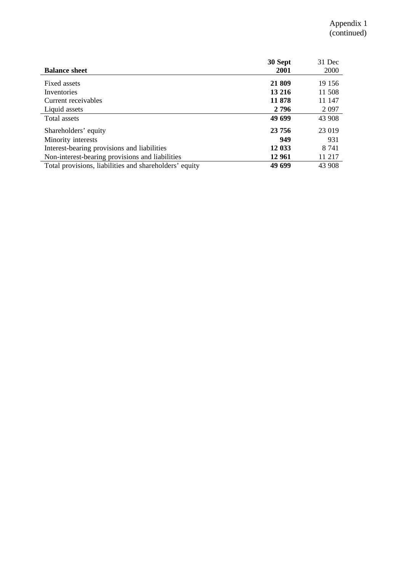|                                                        | 30 Sept | 31 Dec  |
|--------------------------------------------------------|---------|---------|
| <b>Balance sheet</b>                                   | 2001    | 2000    |
| Fixed assets                                           | 21 809  | 19 15 6 |
| Inventories                                            | 13 216  | 11 508  |
| Current receivables                                    | 11878   | 11 147  |
| Liquid assets                                          | 2 7 9 6 | 2 0 9 7 |
| Total assets                                           | 49 699  | 43 908  |
| Shareholders' equity                                   | 23 756  | 23 019  |
| Minority interests                                     | 949     | 931     |
| Interest-bearing provisions and liabilities            | 12 033  | 8 7 4 1 |
| Non-interest-bearing provisions and liabilities        | 12 961  | 11 217  |
| Total provisions, liabilities and shareholders' equity | 49 699  | 43 908  |